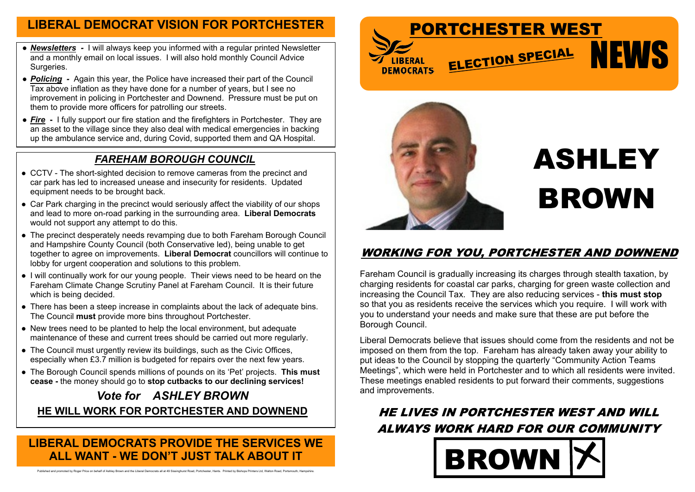### **LIBERAL DEMOCRATS PROVIDE THE SERVICES WE ALL WANT - WE DON'T JUST TALK ABOUT IT**

Published and promoted by Roger Price on behalf of Ashley Brown and the Liberal Democrats all at 49 Sissinghurst Road, Portchester, Hants. Printed by Bishops Printers Ltd, Walton Road, Portsmouth, Hampshire.





## **WORKING FOR YOU, PORTCHESTER AND DOWNEND**

# **ASHLEY BROWN**

Fareham Council is gradually increasing its charges through stealth taxation, by charging residents for coastal car parks, charging for green waste collection and increasing the Council Tax. They are also reducing services - **this must stop** so that you as residents receive the services which you require. I will work with you to understand your needs and make sure that these are put before the Borough Council.

Liberal Democrats believe that issues should come from the residents and not be imposed on them from the top. Fareham has already taken away your ability to put ideas to the Council by stopping the quarterly "Community Action Teams Meetings", which were held in Portchester and to which all residents were invited. These meetings enabled residents to put forward their comments, suggestions and improvements.

# **HE LIVES IN PORTCHESTER WEST AND WILL ALWAYS WORK HARD FOR OUR COMMUNITY BROW**



### *FAREHAM BOROUGH COUNCIL*

- CCTV The short-sighted decision to remove cameras from the precinct and car park has led to increased unease and insecurity for residents. Updated equipment needs to be brought back.
- Car Park charging in the precinct would seriously affect the viability of our shops and lead to more on-road parking in the surrounding area. **Liberal Democrats** would not support any attempt to do this.
- The precinct desperately needs revamping due to both Fareham Borough Council and Hampshire County Council (both Conservative led), being unable to get together to agree on improvements. **Liberal Democrat** councillors will continue to lobby for urgent cooperation and solutions to this problem.
- I will continually work for our young people. Their views need to be heard on the Fareham Climate Change Scrutiny Panel at Fareham Council. It is their future which is being decided.
- There has been a steep increase in complaints about the lack of adequate bins. The Council **must** provide more bins throughout Portchester.
- New trees need to be planted to help the local environment, but adequate maintenance of these and current trees should be carried out more regularly.
- The Council must urgently review its buildings, such as the Civic Offices, especially when £3.7 million is budgeted for repairs over the next few years.
- The Borough Council spends millions of pounds on its 'Pet' projects. **This must cease -** the money should go to **stop cutbacks to our declining services!**

## *Vote for ASHLEY BROWN* **HE WILL WORK FOR PORTCHESTER AND DOWNEND**

- *● Newsletters -* I will always keep you informed with a regular printed Newsletter and a monthly email on local issues. I will also hold monthly Council Advice Surgeries.
- **Policing** Again this year, the Police have increased their part of the Council Tax above inflation as they have done for a number of years, but I see no improvement in policing in Portchester and Downend. Pressure must be put on them to provide more officers for patrolling our streets.
- *Fire* **-** I fully support our fire station and the firefighters in Portchester. They are an asset to the village since they also deal with medical emergencies in backing up the ambulance service and, during Covid, supported them and QA Hospital.